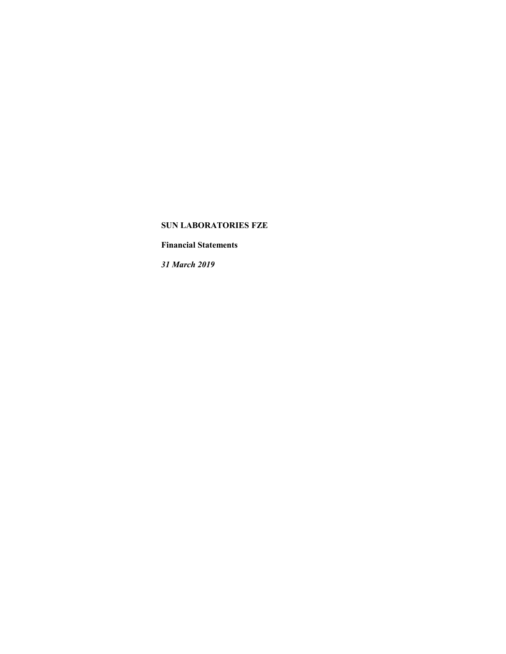**Financial Statements** 

*31 March 2019*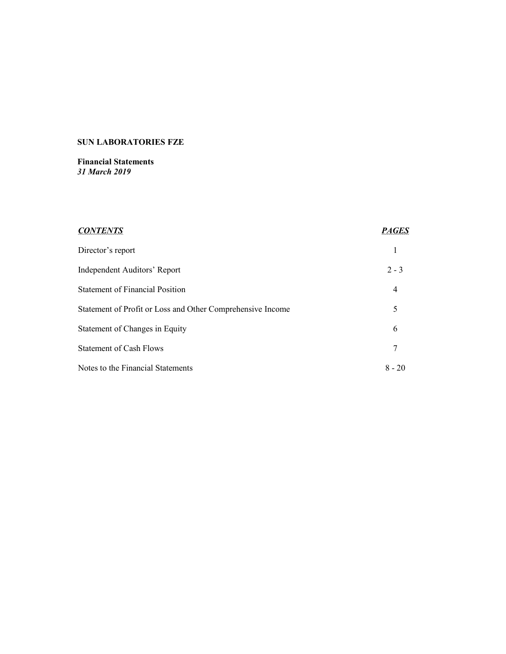**Financial Statements**  *31 March 2019* 

|                                                            | PAGES    |
|------------------------------------------------------------|----------|
| Director's report                                          |          |
| Independent Auditors' Report                               | $2 - 3$  |
| <b>Statement of Financial Position</b>                     | 4        |
| Statement of Profit or Loss and Other Comprehensive Income | 5        |
| Statement of Changes in Equity                             | 6        |
| <b>Statement of Cash Flows</b>                             | 7        |
| Notes to the Financial Statements                          | $8 - 20$ |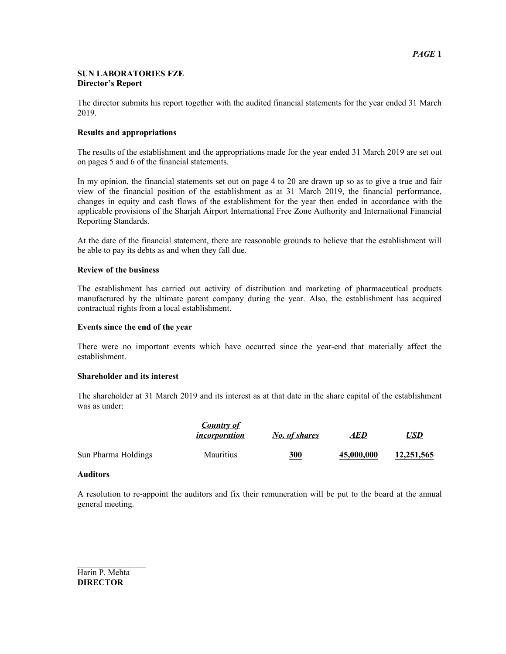### **SUN LABORATORIES FZE Director's Report**

The director submits his report together with the audited financial statements for the year ended 31 March 2019.

### **Results and appropriations**

The results of the establishment and the appropriations made for the year ended 31 March 2019 are set out on pages 5 and 6 of the financial statements.

In my opinion, the financial statements set out on page 4 to 20 are drawn up so as to give a true and fair view of the financial position of the establishment as at 31 March 2019, the financial performance, changes in equity and cash flows of the establishment for the year then ended in accordance with the applicable provisions of the Sharjah Airport International Free Zone Authority and International Financial Reporting Standards.

At the date of the financial statement, there are reasonable grounds to believe that the establishment will be able to pay its debts as and when they fall due.

### **Review of the business**

The establishment has carried out activity of distribution and marketing of pharmaceutical products manufactured by the ultimate parent company during the year. Also, the establishment has acquired contractual rights from a local establishment.

### **Events since the end of the year**

There were no important events which have occurred since the year-end that materially affect the establishment.

### **Shareholder and its interest**

The shareholder at 31 March 2019 and its interest as at that date in the share capital of the establishment was as under:

|                     | <b>Country of</b><br><i>incorporation</i> | <b>No. of shares</b> | <u>AED</u> | <u>USD</u> |
|---------------------|-------------------------------------------|----------------------|------------|------------|
| Sun Pharma Holdings | <b>Mauritius</b>                          | <u>300</u>           | 45,000,000 | 12.251.565 |

### **Auditors**

A resolution to re-appoint the auditors and fix their remuneration will be put to the board at the annual general meeting.

Harin P. Mehta **DIRECTOR** 

 $\frac{1}{2}$  ,  $\frac{1}{2}$  ,  $\frac{1}{2}$  ,  $\frac{1}{2}$  ,  $\frac{1}{2}$  ,  $\frac{1}{2}$  ,  $\frac{1}{2}$  ,  $\frac{1}{2}$  ,  $\frac{1}{2}$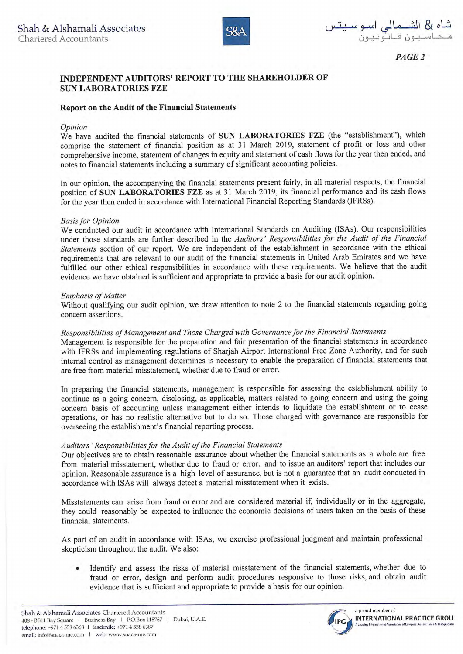

 $PAGE$  2

# INDEPENDENT AUDITORS' REPORT TO THE SHAREHOLDER OF **SUN LABORATORIES FZE**

# **Report on the Audit of the Financial Statements**

### Opinion

We have audited the financial statements of SUN LABORATORIES FZE (the "establishment"), which comprise the statement of financial position as at 31 March 2019, statement of profit or loss and other comprehensive income, statement of changes in equity and statement of cash flows for the year then ended, and notes to financial statements including a summary of significant accounting policies.

In our opinion, the accompanying the financial statements present fairly, in all material respects, the financial position of SUN LABORATORIES FZE as at 31 March 2019, its financial performance and its cash flows for the year then ended in accordance with International Financial Reporting Standards (IFRSs).

## **Basis for Opinion**

We conducted our audit in accordance with International Standards on Auditing (ISAs). Our responsibilities under those standards are further described in the Auditors' Responsibilities for the Audit of the Financial Statements section of our report. We are independent of the establishment in accordance with the ethical requirements that are relevant to our audit of the financial statements in United Arab Emirates and we have fulfilled our other ethical responsibilities in accordance with these requirements. We believe that the audit evidence we have obtained is sufficient and appropriate to provide a basis for our audit opinion.

## **Emphasis of Matter**

Without qualifying our audit opinion, we draw attention to note 2 to the financial statements regarding going concern assertions.

# Responsibilities of Management and Those Charged with Governance for the Financial Statements

Management is responsible for the preparation and fair presentation of the financial statements in accordance with IFRSs and implementing regulations of Sharjah Airport International Free Zone Authority, and for such internal control as management determines is necessary to enable the preparation of financial statements that are free from material misstatement, whether due to fraud or error.

In preparing the financial statements, management is responsible for assessing the establishment ability to continue as a going concern, disclosing, as applicable, matters related to going concern and using the going concern basis of accounting unless management either intends to liquidate the establishment or to cease operations, or has no realistic alternative but to do so. Those charged with governance are responsible for overseeing the establishment's financial reporting process.

## Auditors' Responsibilities for the Audit of the Financial Statements

Our objectives are to obtain reasonable assurance about whether the financial statements as a whole are free from material misstatement, whether due to fraud or error, and to issue an auditors' report that includes our opinion. Reasonable assurance is a high level of assurance, but is not a guarantee that an audit conducted in accordance with ISAs will always detect a material misstatement when it exists.

Misstatements can arise from fraud or error and are considered material if, individually or in the aggregate, they could reasonably be expected to influence the economic decisions of users taken on the basis of these financial statements.

As part of an audit in accordance with ISAs, we exercise professional judgment and maintain professional skepticism throughout the audit. We also:

Identify and assess the risks of material misstatement of the financial statements, whether due to  $\bullet$ fraud or error, design and perform audit procedures responsive to those risks, and obtain audit evidence that is sufficient and appropriate to provide a basis for our opinion.

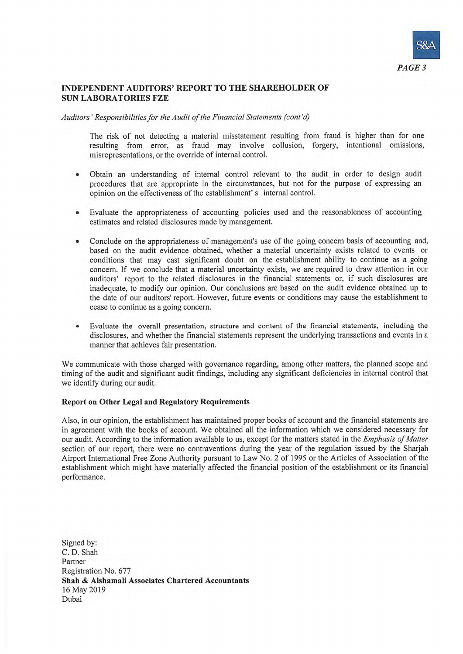

# **INDEPENDENT AUDITORS' REPORT TO THE SHAREHOLDER OF SUN LABORATORIES FZE**

## Auditors' Responsibilities for the Audit of the Financial Statements (cont'd)

The risk of not detecting a material misstatement resulting from fraud is higher than for one resulting from error, as fraud may involve collusion, forgery, intentional omissions, misrepresentations, or the override of internal control.

- Obtain an understanding of internal control relevant to the audit in order to design audit  $\bullet$ procedures that are appropriate in the circumstances, but not for the purpose of expressing an opinion on the effectiveness of the establishment's internal control.
- Evaluate the appropriateness of accounting policies used and the reasonableness of accounting estimates and related disclosures made by management.
- Conclude on the appropriateness of management's use of the going concern basis of accounting and,  $\bullet$ based on the audit evidence obtained, whether a material uncertainty exists related to events or conditions that may cast significant doubt on the establishment ability to continue as a going concern. If we conclude that a material uncertainty exists, we are required to draw attention in our auditors' report to the related disclosures in the financial statements or, if such disclosures are inadequate, to modify our opinion. Our conclusions are based on the audit evidence obtained up to the date of our auditors' report. However, future events or conditions may cause the establishment to cease to continue as a going concern.
- Evaluate the overall presentation, structure and content of the financial statements, including the disclosures, and whether the financial statements represent the underlying transactions and events in a manner that achieves fair presentation.

We communicate with those charged with governance regarding, among other matters, the planned scope and timing of the audit and significant audit findings, including any significant deficiencies in internal control that we identify during our audit.

# **Report on Other Legal and Regulatory Requirements**

Also, in our opinion, the establishment has maintained proper books of account and the financial statements are in agreement with the books of account. We obtained all the information which we considered necessary for our audit. According to the information available to us, except for the matters stated in the *Emphasis of Matter* section of our report, there were no contraventions during the year of the regulation issued by the Sharjah Airport International Free Zone Authority pursuant to Law No. 2 of 1995 or the Articles of Association of the establishment which might have materially affected the financial position of the establishment or its financial performance.

Signed by: C. D. Shah Partner Registration No. 677 Shah & Alshamali Associates Chartered Accountants 16 May 2019 Dubai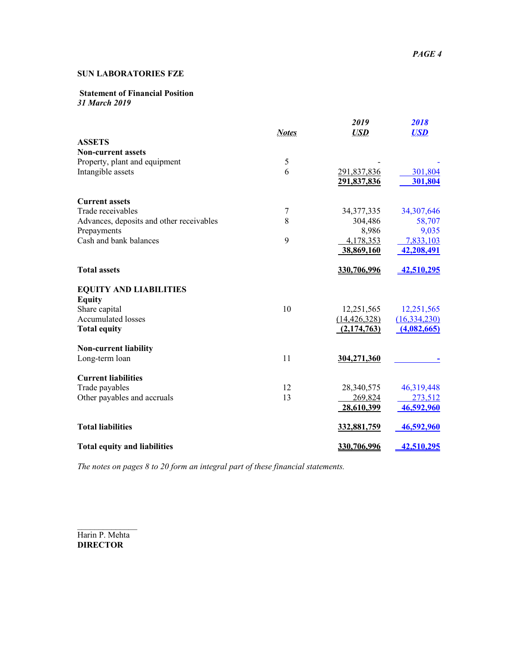## **Statement of Financial Position**  *31 March 2019*

|                                          |                  | 2019           | 2018           |
|------------------------------------------|------------------|----------------|----------------|
| <b>ASSETS</b>                            | <b>Notes</b>     | <b>USD</b>     | <b>USD</b>     |
| <b>Non-current assets</b>                |                  |                |                |
| Property, plant and equipment            | 5                |                |                |
|                                          | 6                |                |                |
| Intangible assets                        |                  | 291,837,836    | 301,804        |
|                                          |                  | 291,837,836    | 301,804        |
| <b>Current assets</b>                    |                  |                |                |
| Trade receivables                        | $\boldsymbol{7}$ | 34, 377, 335   | 34,307,646     |
| Advances, deposits and other receivables | 8                | 304,486        | 58,707         |
| Prepayments                              |                  | 8,986          | 9,035          |
| Cash and bank balances                   | 9                | 4,178,353      | 7,833,103      |
|                                          |                  | 38,869,160     | 42,208,491     |
|                                          |                  |                |                |
| <b>Total assets</b>                      |                  | 330,706,996    | 42,510,295     |
| <b>EQUITY AND LIABILITIES</b>            |                  |                |                |
| <b>Equity</b>                            |                  |                |                |
| Share capital                            | 10               | 12,251,565     | 12,251,565     |
| <b>Accumulated losses</b>                |                  | (14, 426, 328) | (16, 334, 230) |
| <b>Total equity</b>                      |                  | (2,174,763)    | (4,082,665)    |
|                                          |                  |                |                |
| Non-current liability                    |                  |                |                |
| Long-term loan                           | 11               | 304,271,360    |                |
|                                          |                  |                |                |
| <b>Current liabilities</b>               |                  |                |                |
| Trade payables                           | 12               | 28,340,575     | 46,319,448     |
| Other payables and accruals              | 13               | 269,824        | 273,512        |
|                                          |                  | 28,610,399     | 46,592,960     |
|                                          |                  |                |                |
| <b>Total liabilities</b>                 |                  | 332,881,759    | 46,592,960     |
| <b>Total equity and liabilities</b>      |                  | 330,706,996    | 42,510,295     |

*The notes on pages 8 to 20 form an integral part of these financial statements.* 

Harin P. Mehta **DIRECTOR** 

 $\mathcal{L}=\mathcal{L}^{\mathcal{L}}$  , where  $\mathcal{L}^{\mathcal{L}}$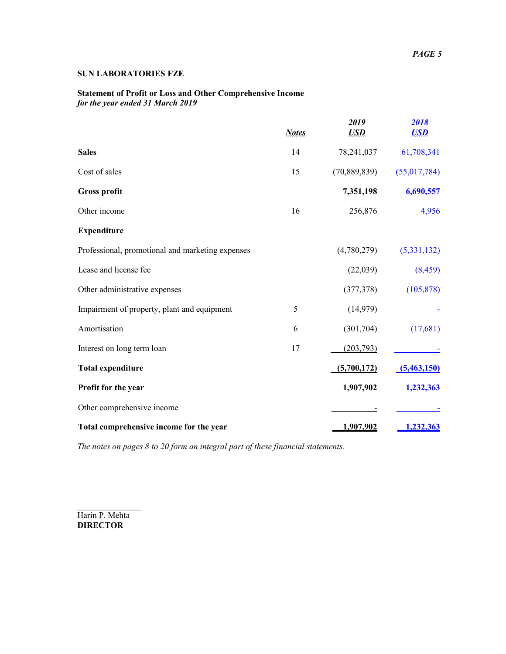# **Statement of Profit or Loss and Other Comprehensive Income**  *for the year ended 31 March 2019*

|                                                  | <b>Notes</b> | 2019<br>$\sum_{n=1}^{n}$ | 2018<br><b>USD</b> |
|--------------------------------------------------|--------------|--------------------------|--------------------|
| <b>Sales</b>                                     | 14           | 78,241,037               | 61,708,341         |
| Cost of sales                                    | 15           | (70,889,839)             | (55,017,784)       |
| <b>Gross profit</b>                              |              | 7,351,198                | 6,690,557          |
| Other income                                     | 16           | 256,876                  | 4,956              |
| <b>Expenditure</b>                               |              |                          |                    |
| Professional, promotional and marketing expenses |              | (4,780,279)              | (5,331,132)        |
| Lease and license fee                            |              | (22,039)                 | (8, 459)           |
| Other administrative expenses                    |              | (377, 378)               | (105, 878)         |
| Impairment of property, plant and equipment      | 5            | (14, 979)                |                    |
| Amortisation                                     | 6            | (301, 704)               | (17,681)           |
| Interest on long term loan                       | 17           | (203, 793)               |                    |
| <b>Total expenditure</b>                         |              | (5,700,172)              | (5,463,150)        |
| Profit for the year                              |              | 1,907,902                | 1,232,363          |
| Other comprehensive income                       |              |                          |                    |
| Total comprehensive income for the year          |              | 1,907,902                | 1,232,363          |

*The notes on pages 8 to 20 form an integral part of these financial statements.*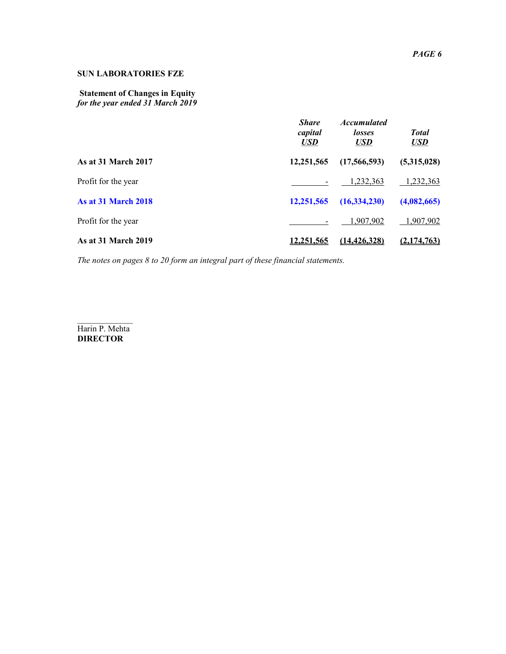## **Statement of Changes in Equity**  *for the year ended 31 March 2019*

|                            | <b>Share</b><br>capital<br><u>USD</u> | <b>Accumulated</b><br>losses<br><b>USD</b> | <b>Total</b><br><b>USD</b> |
|----------------------------|---------------------------------------|--------------------------------------------|----------------------------|
| As at 31 March 2017        | 12,251,565                            | (17,566,593)                               | (5,315,028)                |
| Profit for the year        |                                       | 1,232,363                                  | 1,232,363                  |
| <b>As at 31 March 2018</b> | 12,251,565                            | (16,334,230)                               | (4,082,665)                |
| Profit for the year        |                                       | 1,907,902                                  | 1,907,902                  |
| As at 31 March 2019        | 12,251,565                            | (14.426.328)                               | (2.174, 763)               |

*The notes on pages 8 to 20 form an integral part of these financial statements.*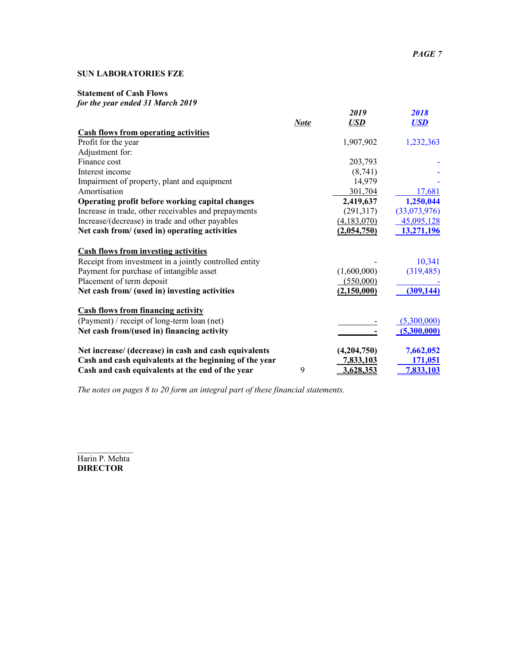# **Statement of Cash Flows**

*for the year ended 31 March 2019* 

|                                                        |             | 2019        | 2018           |
|--------------------------------------------------------|-------------|-------------|----------------|
|                                                        | <b>Note</b> | <b>USD</b>  | <b>USD</b>     |
| <b>Cash flows from operating activities</b>            |             |             |                |
| Profit for the year                                    |             | 1,907,902   | 1,232,363      |
| Adjustment for:                                        |             |             |                |
| Finance cost                                           |             | 203,793     |                |
| Interest income                                        |             | (8,741)     |                |
| Impairment of property, plant and equipment            |             | 14,979      |                |
| Amortisation                                           |             | 301,704     | 17.681         |
| Operating profit before working capital changes        |             | 2,419,637   | 1,250,044      |
| Increase in trade, other receivables and prepayments   |             | (291,317)   | (33,073,976)   |
| Increase/(decrease) in trade and other payables        |             | (4,183,070) | 45,095,128     |
| Net cash from/ (used in) operating activities          |             | (2,054,750) | 13,271,196     |
| <b>Cash flows from investing activities</b>            |             |             |                |
| Receipt from investment in a jointly controlled entity |             |             | 10,341         |
| Payment for purchase of intangible asset               |             | (1,600,000) | (319, 485)     |
| Placement of term deposit                              |             | (550,000)   |                |
| Net cash from/ (used in) investing activities          |             | (2,150,000) | (309, 144)     |
| <b>Cash flows from financing activity</b>              |             |             |                |
| (Payment) / receipt of long-term loan (net)            |             |             | (5,300,000)    |
| Net cash from/(used in) financing activity             |             |             | (5,300,000)    |
| Net increase/ (decrease) in cash and cash equivalents  |             | (4,204,750) | 7,662,052      |
| Cash and cash equivalents at the beginning of the year |             | 7,833,103   | <u>171,051</u> |
| Cash and cash equivalents at the end of the year       | 9           | 3,628,353   | 7,833,103      |

*The notes on pages 8 to 20 form an integral part of these financial statements.*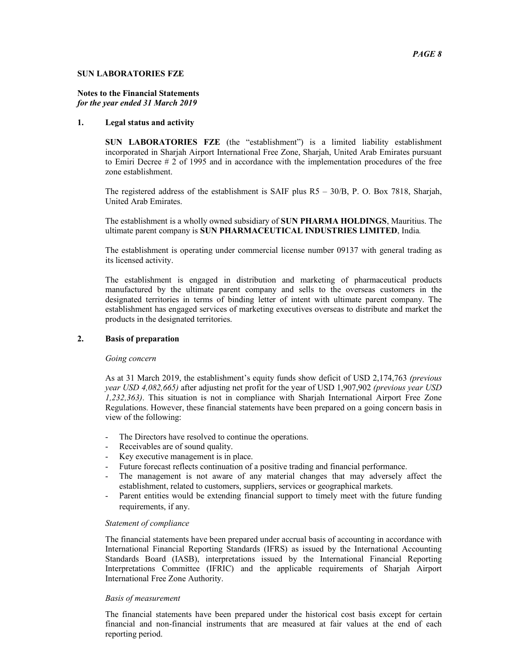### **Notes to the Financial Statements**  *for the year ended 31 March 2019*

### **1. Legal status and activity**

**SUN LABORATORIES FZE** (the "establishment") is a limited liability establishment incorporated in Sharjah Airport International Free Zone, Sharjah, United Arab Emirates pursuant to Emiri Decree # 2 of 1995 and in accordance with the implementation procedures of the free zone establishment.

The registered address of the establishment is SAIF plus R5 – 30/B, P. O. Box 7818, Sharjah, United Arab Emirates.

The establishment is a wholly owned subsidiary of **SUN PHARMA HOLDINGS**, Mauritius. The ultimate parent company is **SUN PHARMACEUTICAL INDUSTRIES LIMITED**, India*.*

The establishment is operating under commercial license number 09137 with general trading as its licensed activity.

The establishment is engaged in distribution and marketing of pharmaceutical products manufactured by the ultimate parent company and sells to the overseas customers in the designated territories in terms of binding letter of intent with ultimate parent company. The establishment has engaged services of marketing executives overseas to distribute and market the products in the designated territories.

### **2. Basis of preparation**

### *Going concern*

As at 31 March 2019, the establishment's equity funds show deficit of USD 2,174,763 *(previous year USD 4,082,665)* after adjusting net profit for the year of USD 1,907,902 *(previous year USD 1,232,363)*. This situation is not in compliance with Sharjah International Airport Free Zone Regulations. However, these financial statements have been prepared on a going concern basis in view of the following:

- The Directors have resolved to continue the operations.
- Receivables are of sound quality.
- Key executive management is in place.
- Future forecast reflects continuation of a positive trading and financial performance.
- The management is not aware of any material changes that may adversely affect the establishment, related to customers, suppliers, services or geographical markets.
- Parent entities would be extending financial support to timely meet with the future funding requirements, if any.

### *Statement of compliance*

The financial statements have been prepared under accrual basis of accounting in accordance with International Financial Reporting Standards (IFRS) as issued by the International Accounting Standards Board (IASB), interpretations issued by the International Financial Reporting Interpretations Committee (IFRIC) and the applicable requirements of Sharjah Airport International Free Zone Authority.

### *Basis of measurement*

The financial statements have been prepared under the historical cost basis except for certain financial and non-financial instruments that are measured at fair values at the end of each reporting period.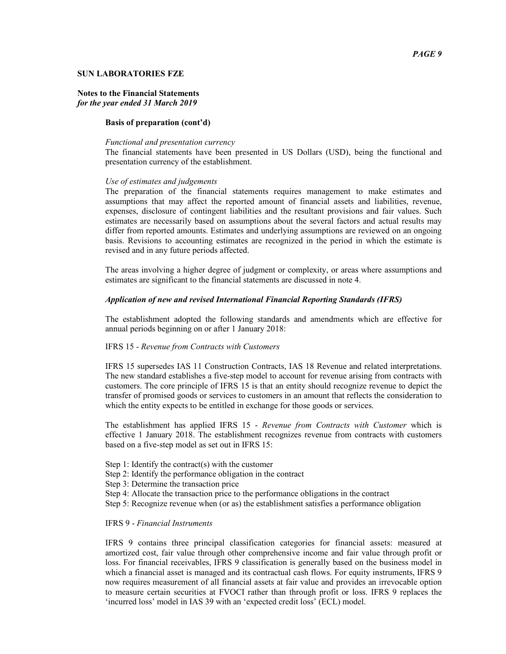### **Notes to the Financial Statements**  *for the year ended 31 March 2019*

### **Basis of preparation (cont'd)**

#### *Functional and presentation currency*

The financial statements have been presented in US Dollars (USD), being the functional and presentation currency of the establishment.

### *Use of estimates and judgements*

The preparation of the financial statements requires management to make estimates and assumptions that may affect the reported amount of financial assets and liabilities, revenue, expenses, disclosure of contingent liabilities and the resultant provisions and fair values. Such estimates are necessarily based on assumptions about the several factors and actual results may differ from reported amounts. Estimates and underlying assumptions are reviewed on an ongoing basis. Revisions to accounting estimates are recognized in the period in which the estimate is revised and in any future periods affected.

The areas involving a higher degree of judgment or complexity, or areas where assumptions and estimates are significant to the financial statements are discussed in note 4.

### *Application of new and revised International Financial Reporting Standards (IFRS)*

The establishment adopted the following standards and amendments which are effective for annual periods beginning on or after 1 January 2018:

#### IFRS 15 - *Revenue from Contracts with Customers*

IFRS 15 supersedes IAS 11 Construction Contracts, IAS 18 Revenue and related interpretations. The new standard establishes a five-step model to account for revenue arising from contracts with customers. The core principle of IFRS 15 is that an entity should recognize revenue to depict the transfer of promised goods or services to customers in an amount that reflects the consideration to which the entity expects to be entitled in exchange for those goods or services.

The establishment has applied IFRS 15 - *Revenue from Contracts with Customer* which is effective 1 January 2018. The establishment recognizes revenue from contracts with customers based on a five-step model as set out in IFRS 15:

- Step 1: Identify the contract(s) with the customer
- Step 2: Identify the performance obligation in the contract
- Step 3: Determine the transaction price
- Step 4: Allocate the transaction price to the performance obligations in the contract
- Step 5: Recognize revenue when (or as) the establishment satisfies a performance obligation

### IFRS 9 - *Financial Instruments*

IFRS 9 contains three principal classification categories for financial assets: measured at amortized cost, fair value through other comprehensive income and fair value through profit or loss. For financial receivables, IFRS 9 classification is generally based on the business model in which a financial asset is managed and its contractual cash flows. For equity instruments, IFRS 9 now requires measurement of all financial assets at fair value and provides an irrevocable option to measure certain securities at FVOCI rather than through profit or loss. IFRS 9 replaces the 'incurred loss' model in IAS 39 with an 'expected credit loss' (ECL) model.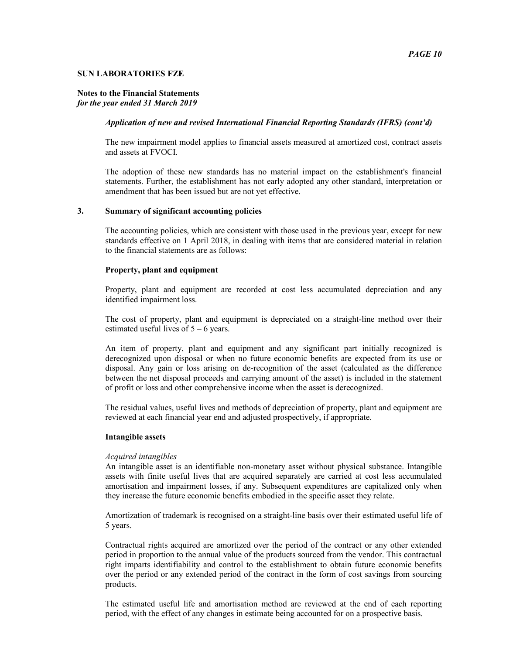### **Notes to the Financial Statements**  *for the year ended 31 March 2019*

### *Application of new and revised International Financial Reporting Standards (IFRS) (cont'd)*

The new impairment model applies to financial assets measured at amortized cost, contract assets and assets at FVOCI.

The adoption of these new standards has no material impact on the establishment's financial statements. Further, the establishment has not early adopted any other standard, interpretation or amendment that has been issued but are not yet effective.

### **3. Summary of significant accounting policies**

The accounting policies, which are consistent with those used in the previous year, except for new standards effective on 1 April 2018, in dealing with items that are considered material in relation to the financial statements are as follows:

#### **Property, plant and equipment**

Property, plant and equipment are recorded at cost less accumulated depreciation and any identified impairment loss.

The cost of property, plant and equipment is depreciated on a straight-line method over their estimated useful lives of 5 – 6 years.

An item of property, plant and equipment and any significant part initially recognized is derecognized upon disposal or when no future economic benefits are expected from its use or disposal. Any gain or loss arising on de-recognition of the asset (calculated as the difference between the net disposal proceeds and carrying amount of the asset) is included in the statement of profit or loss and other comprehensive income when the asset is derecognized.

The residual values, useful lives and methods of depreciation of property, plant and equipment are reviewed at each financial year end and adjusted prospectively, if appropriate.

#### **Intangible assets**

#### *Acquired intangibles*

An intangible asset is an identifiable non-monetary asset without physical substance. Intangible assets with finite useful lives that are acquired separately are carried at cost less accumulated amortisation and impairment losses, if any. Subsequent expenditures are capitalized only when they increase the future economic benefits embodied in the specific asset they relate.

Amortization of trademark is recognised on a straight-line basis over their estimated useful life of 5 years.

Contractual rights acquired are amortized over the period of the contract or any other extended period in proportion to the annual value of the products sourced from the vendor. This contractual right imparts identifiability and control to the establishment to obtain future economic benefits over the period or any extended period of the contract in the form of cost savings from sourcing products.

The estimated useful life and amortisation method are reviewed at the end of each reporting period, with the effect of any changes in estimate being accounted for on a prospective basis.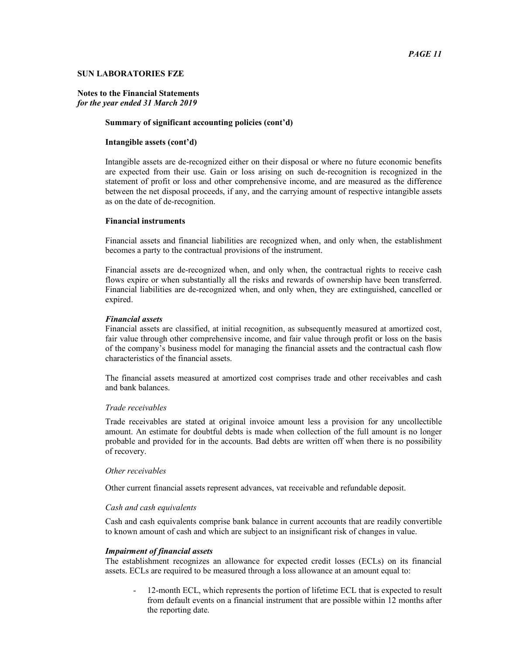### **Notes to the Financial Statements**  *for the year ended 31 March 2019*

### **Summary of significant accounting policies (cont'd)**

### **Intangible assets (cont'd)**

Intangible assets are de-recognized either on their disposal or where no future economic benefits are expected from their use. Gain or loss arising on such de-recognition is recognized in the statement of profit or loss and other comprehensive income, and are measured as the difference between the net disposal proceeds, if any, and the carrying amount of respective intangible assets as on the date of de-recognition.

### **Financial instruments**

Financial assets and financial liabilities are recognized when, and only when, the establishment becomes a party to the contractual provisions of the instrument.

Financial assets are de-recognized when, and only when, the contractual rights to receive cash flows expire or when substantially all the risks and rewards of ownership have been transferred. Financial liabilities are de-recognized when, and only when, they are extinguished, cancelled or expired.

### *Financial assets*

Financial assets are classified, at initial recognition, as subsequently measured at amortized cost, fair value through other comprehensive income, and fair value through profit or loss on the basis of the company's business model for managing the financial assets and the contractual cash flow characteristics of the financial assets.

The financial assets measured at amortized cost comprises trade and other receivables and cash and bank balances.

### *Trade receivables*

Trade receivables are stated at original invoice amount less a provision for any uncollectible amount. An estimate for doubtful debts is made when collection of the full amount is no longer probable and provided for in the accounts. Bad debts are written off when there is no possibility of recovery.

### *Other receivables*

Other current financial assets represent advances, vat receivable and refundable deposit.

### *Cash and cash equivalents*

Cash and cash equivalents comprise bank balance in current accounts that are readily convertible to known amount of cash and which are subject to an insignificant risk of changes in value.

### *Impairment of financial assets*

The establishment recognizes an allowance for expected credit losses (ECLs) on its financial assets. ECLs are required to be measured through a loss allowance at an amount equal to:

12-month ECL, which represents the portion of lifetime ECL that is expected to result from default events on a financial instrument that are possible within 12 months after the reporting date.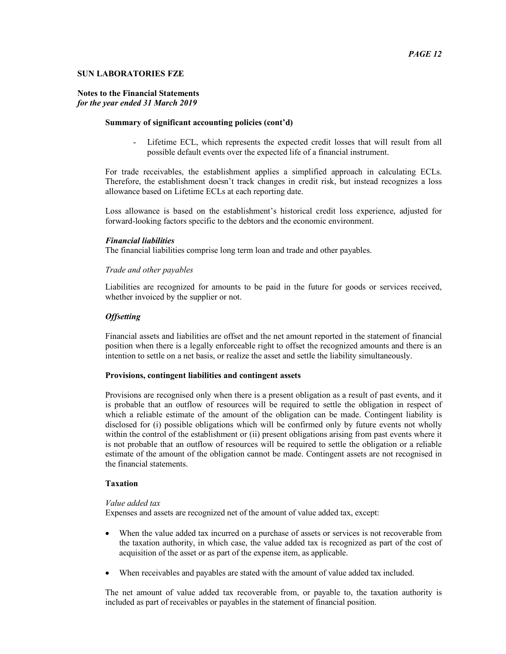### **Notes to the Financial Statements**  *for the year ended 31 March 2019*

### **Summary of significant accounting policies (cont'd)**

Lifetime ECL, which represents the expected credit losses that will result from all possible default events over the expected life of a financial instrument.

For trade receivables, the establishment applies a simplified approach in calculating ECLs. Therefore, the establishment doesn't track changes in credit risk, but instead recognizes a loss allowance based on Lifetime ECLs at each reporting date.

Loss allowance is based on the establishment's historical credit loss experience, adjusted for forward-looking factors specific to the debtors and the economic environment.

### *Financial liabilities*

The financial liabilities comprise long term loan and trade and other payables.

### *Trade and other payables*

Liabilities are recognized for amounts to be paid in the future for goods or services received, whether invoiced by the supplier or not.

### *Offsetting*

Financial assets and liabilities are offset and the net amount reported in the statement of financial position when there is a legally enforceable right to offset the recognized amounts and there is an intention to settle on a net basis, or realize the asset and settle the liability simultaneously.

### **Provisions, contingent liabilities and contingent assets**

Provisions are recognised only when there is a present obligation as a result of past events, and it is probable that an outflow of resources will be required to settle the obligation in respect of which a reliable estimate of the amount of the obligation can be made. Contingent liability is disclosed for (i) possible obligations which will be confirmed only by future events not wholly within the control of the establishment or (ii) present obligations arising from past events where it is not probable that an outflow of resources will be required to settle the obligation or a reliable estimate of the amount of the obligation cannot be made. Contingent assets are not recognised in the financial statements.

### **Taxation**

### *Value added tax*

Expenses and assets are recognized net of the amount of value added tax, except:

- When the value added tax incurred on a purchase of assets or services is not recoverable from the taxation authority, in which case, the value added tax is recognized as part of the cost of acquisition of the asset or as part of the expense item, as applicable.
- When receivables and payables are stated with the amount of value added tax included.

The net amount of value added tax recoverable from, or payable to, the taxation authority is included as part of receivables or payables in the statement of financial position.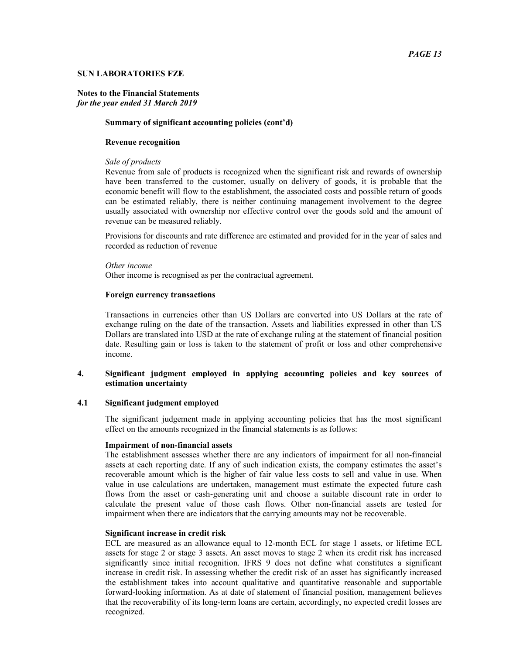### **Notes to the Financial Statements**  *for the year ended 31 March 2019*

### **Summary of significant accounting policies (cont'd)**

#### **Revenue recognition**

#### *Sale of products*

Revenue from sale of products is recognized when the significant risk and rewards of ownership have been transferred to the customer, usually on delivery of goods, it is probable that the economic benefit will flow to the establishment, the associated costs and possible return of goods can be estimated reliably, there is neither continuing management involvement to the degree usually associated with ownership nor effective control over the goods sold and the amount of revenue can be measured reliably.

Provisions for discounts and rate difference are estimated and provided for in the year of sales and recorded as reduction of revenue

#### *Other income*

Other income is recognised as per the contractual agreement.

### **Foreign currency transactions**

Transactions in currencies other than US Dollars are converted into US Dollars at the rate of exchange ruling on the date of the transaction. Assets and liabilities expressed in other than US Dollars are translated into USD at the rate of exchange ruling at the statement of financial position date. Resulting gain or loss is taken to the statement of profit or loss and other comprehensive income.

### **4. Significant judgment employed in applying accounting policies and key sources of estimation uncertainty**

### **4.1 Significant judgment employed**

The significant judgement made in applying accounting policies that has the most significant effect on the amounts recognized in the financial statements is as follows:

### **Impairment of non-financial assets**

The establishment assesses whether there are any indicators of impairment for all non-financial assets at each reporting date. If any of such indication exists, the company estimates the asset's recoverable amount which is the higher of fair value less costs to sell and value in use. When value in use calculations are undertaken, management must estimate the expected future cash flows from the asset or cash-generating unit and choose a suitable discount rate in order to calculate the present value of those cash flows. Other non-financial assets are tested for impairment when there are indicators that the carrying amounts may not be recoverable.

#### **Significant increase in credit risk**

ECL are measured as an allowance equal to 12-month ECL for stage 1 assets, or lifetime ECL assets for stage 2 or stage 3 assets. An asset moves to stage 2 when its credit risk has increased significantly since initial recognition. IFRS 9 does not define what constitutes a significant increase in credit risk. In assessing whether the credit risk of an asset has significantly increased the establishment takes into account qualitative and quantitative reasonable and supportable forward-looking information. As at date of statement of financial position, management believes that the recoverability of its long-term loans are certain, accordingly, no expected credit losses are recognized.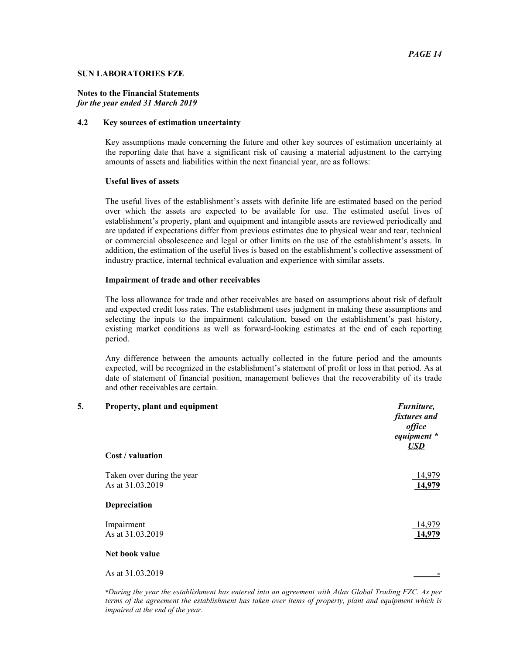### **Notes to the Financial Statements**  *for the year ended 31 March 2019*

### **4.2 Key sources of estimation uncertainty**

Key assumptions made concerning the future and other key sources of estimation uncertainty at the reporting date that have a significant risk of causing a material adjustment to the carrying amounts of assets and liabilities within the next financial year, are as follows:

### **Useful lives of assets**

The useful lives of the establishment's assets with definite life are estimated based on the period over which the assets are expected to be available for use. The estimated useful lives of establishment's property, plant and equipment and intangible assets are reviewed periodically and are updated if expectations differ from previous estimates due to physical wear and tear, technical or commercial obsolescence and legal or other limits on the use of the establishment's assets. In addition, the estimation of the useful lives is based on the establishment's collective assessment of industry practice, internal technical evaluation and experience with similar assets.

### **Impairment of trade and other receivables**

The loss allowance for trade and other receivables are based on assumptions about risk of default and expected credit loss rates. The establishment uses judgment in making these assumptions and selecting the inputs to the impairment calculation, based on the establishment's past history, existing market conditions as well as forward-looking estimates at the end of each reporting period.

Any difference between the amounts actually collected in the future period and the amounts expected, will be recognized in the establishment's statement of profit or loss in that period. As at date of statement of financial position, management believes that the recoverability of its trade and other receivables are certain.

| 5. | Property, plant and equipment | Furniture,<br><i>fixtures and</i><br>office<br>equipment *<br>$\mathbf{LSD}$ |
|----|-------------------------------|------------------------------------------------------------------------------|
|    | Cost / valuation              |                                                                              |
|    | Taken over during the year    | 14,979                                                                       |
|    | As at 31.03.2019              | 14,979                                                                       |
|    | Depreciation                  |                                                                              |
|    | Impairment                    | 14,979                                                                       |
|    | As at 31.03.2019              | 14,979                                                                       |
|    | Net book value                |                                                                              |
|    | As at 31.03.2019              |                                                                              |

\**During the year the establishment has entered into an agreement with Atlas Global Trading FZC. As per terms of the agreement the establishment has taken over items of property, plant and equipment which is impaired at the end of the year.*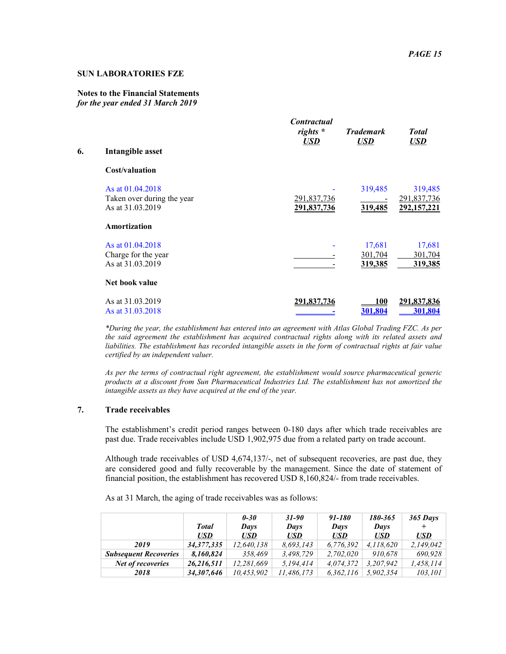### **Notes to the Financial Statements**  *for the year ended 31 March 2019*

| 6. | Intangible asset           | <b>Contractual</b><br>rights *<br><b>USD</b> | <b>Trademark</b><br>$\boldsymbol{USD}$ | <b>Total</b><br><b>USD</b> |
|----|----------------------------|----------------------------------------------|----------------------------------------|----------------------------|
|    | Cost/valuation             |                                              |                                        |                            |
|    | As at 01.04.2018           |                                              | 319,485                                | 319,485                    |
|    | Taken over during the year | 291,837,736                                  |                                        | 291,837,736                |
|    | As at 31.03.2019           | 291,837,736                                  | 319,485                                | 292,157,221                |
|    | Amortization               |                                              |                                        |                            |
|    | As at 01.04.2018           |                                              | 17,681                                 | 17,681                     |
|    | Charge for the year        |                                              | 301,704                                | 301,704                    |
|    | As at 31.03.2019           |                                              | 319,385                                | 319,385                    |
|    | Net book value             |                                              |                                        |                            |
|    | As at 31.03.2019           | 291,837,736                                  | 100                                    | <u>291,837,836</u>         |
|    | As at 31,03,2018           |                                              | 301.804                                | 301,804                    |
|    |                            |                                              |                                        |                            |

*\*During the year, the establishment has entered into an agreement with Atlas Global Trading FZC. As per the said agreement the establishment has acquired contractual rights along with its related assets and liabilities. The establishment has recorded intangible assets in the form of contractual rights at fair value certified by an independent valuer.* 

*As per the terms of contractual right agreement, the establishment would source pharmaceutical generic products at a discount from Sun Pharmaceutical Industries Ltd. The establishment has not amortized the intangible assets as they have acquired at the end of the year.* 

## **7. Trade receivables**

The establishment's credit period ranges between 0-180 days after which trade receivables are past due. Trade receivables include USD 1,902,975 due from a related party on trade account.

Although trade receivables of USD 4,674,137/-, net of subsequent recoveries, are past due, they are considered good and fully recoverable by the management. Since the date of statement of financial position, the establishment has recovered USD 8,160,824/- from trade receivables.

As at 31 March, the aging of trade receivables was as follows:

|                              | <b>Total</b><br><b>USD</b> | $0 - 30$<br>Days<br><u>USD</u> | $31 - 90$<br>Days<br>USD. | 91-180<br>Days<br>USD. | 180-365<br>Days<br>USD. | $365$ Days<br>$\pm$<br>$\mathit{USD}$ |
|------------------------------|----------------------------|--------------------------------|---------------------------|------------------------|-------------------------|---------------------------------------|
| 2019                         | 34,377,335                 | 12,640,138                     | 8,693,143                 | 6,776,392              | 4.118.620               | 2,149,042                             |
| <b>Subsequent Recoveries</b> | 8,160,824                  | 358,469                        | 3.498.729                 | 2,702,020              | 910.678                 | 690.928                               |
| Net of recoveries            | 26,216,511                 | 12,281,669                     | 5,194,414                 | 4,074,372              | 3,207,942               | 1,458,114                             |
| 2018                         | 34,307,646                 | 10,453,902                     | 11,486,173                | 6,362,116              | 5,902,354               | 103, 101                              |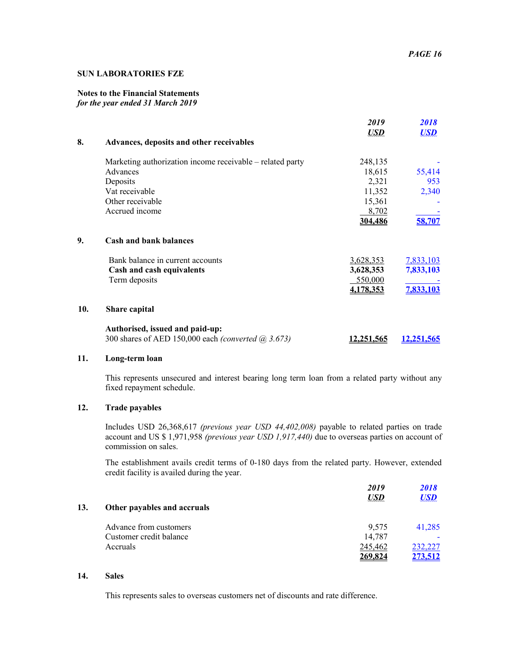## **Notes to the Financial Statements**  *for the year ended 31 March 2019*

|     |                                                             | 2019       | 2018              |
|-----|-------------------------------------------------------------|------------|-------------------|
|     |                                                             | <b>USD</b> | <b>USD</b>        |
| 8.  | Advances, deposits and other receivables                    |            |                   |
|     | Marketing authorization income receivable – related party   | 248,135    |                   |
|     | Advances                                                    | 18,615     | 55,414            |
|     | Deposits                                                    | 2,321      | 953               |
|     | Vat receivable                                              | 11,352     | 2,340             |
|     | Other receivable                                            | 15,361     |                   |
|     | Accrued income                                              | 8,702      |                   |
|     |                                                             | 304,486    | 58,707            |
| 9.  | <b>Cash and bank balances</b>                               |            |                   |
|     | Bank balance in current accounts                            | 3,628,353  | 7,833,103         |
|     | Cash and cash equivalents                                   | 3,628,353  | 7,833,103         |
|     | Term deposits                                               | 550,000    |                   |
|     |                                                             | 4,178,353  | 7,833,103         |
| 10. | Share capital                                               |            |                   |
|     | Authorised, issued and paid-up:                             |            |                   |
|     | 300 shares of AED 150,000 each <i>(converted (a)</i> 3.673) |            | <u>12.251.565</u> |

## **11. Long-term loan**

This represents unsecured and interest bearing long term loan from a related party without any fixed repayment schedule.

### **12. Trade payables**

Includes USD 26,368,617 *(previous year USD 44,402,008)* payable to related parties on trade account and US \$ 1,971,958 *(previous year USD 1,917,440)* due to overseas parties on account of commission on sales.

The establishment avails credit terms of 0-180 days from the related party. However, extended credit facility is availed during the year.

|     |                             | 2019       | 2018       |
|-----|-----------------------------|------------|------------|
|     |                             | <u>USD</u> | <u>USD</u> |
| 13. | Other payables and accruals |            |            |
|     | Advance from customers      | 9.575      | 41,285     |
|     | Customer credit balance     | 14,787     |            |
|     | Accruals                    | 245,462    | 232,227    |
|     |                             |            | 273.512    |

### **14. Sales**

This represents sales to overseas customers net of discounts and rate difference.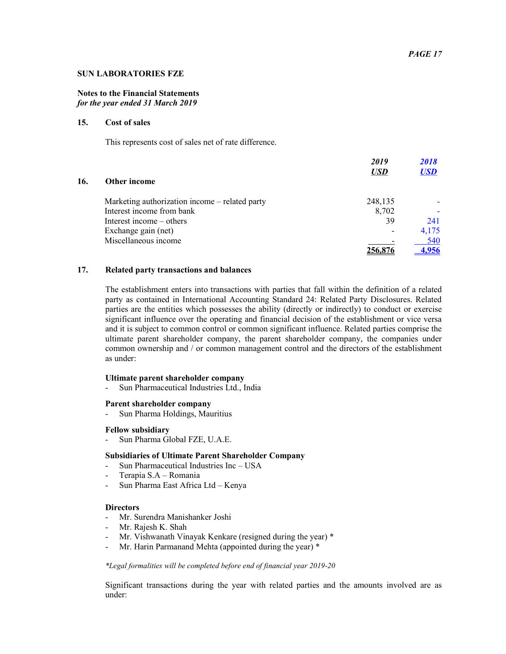### **Notes to the Financial Statements**  *for the year ended 31 March 2019*

## **15. Cost of sales**

This represents cost of sales net of rate difference.

|     |                                                | 2019       | 2018       |
|-----|------------------------------------------------|------------|------------|
|     |                                                | <b>USD</b> | <u>USD</u> |
| 16. | Other income                                   |            |            |
|     | Marketing authorization income – related party | 248,135    |            |
|     | Interest income from bank                      | 8,702      |            |
|     | Interest income – others                       | 39         | 241        |
|     | Exchange gain (net)                            |            | 4,175      |
|     | Miscellaneous income                           |            | 540        |
|     |                                                |            |            |

# **17. Related party transactions and balances**

The establishment enters into transactions with parties that fall within the definition of a related party as contained in International Accounting Standard 24: Related Party Disclosures. Related parties are the entities which possesses the ability (directly or indirectly) to conduct or exercise significant influence over the operating and financial decision of the establishment or vice versa and it is subject to common control or common significant influence. Related parties comprise the ultimate parent shareholder company, the parent shareholder company, the companies under common ownership and / or common management control and the directors of the establishment as under:

#### **Ultimate parent shareholder company**

- Sun Pharmaceutical Industries Ltd., India

### **Parent shareholder company**

- Sun Pharma Holdings, Mauritius

#### **Fellow subsidiary**

Sun Pharma Global FZE, U.A.E.

### **Subsidiaries of Ultimate Parent Shareholder Company**

- Sun Pharmaceutical Industries Inc USA
- Terapia S.A Romania
- Sun Pharma East Africa Ltd Kenya

#### **Directors**

- Mr. Surendra Manishanker Joshi
- Mr. Rajesh K. Shah
- Mr. Vishwanath Vinayak Kenkare (resigned during the year) \*
- Mr. Harin Parmanand Mehta (appointed during the year) \*

*\*Legal formalities will be completed before end of financial year 2019-20* 

Significant transactions during the year with related parties and the amounts involved are as under: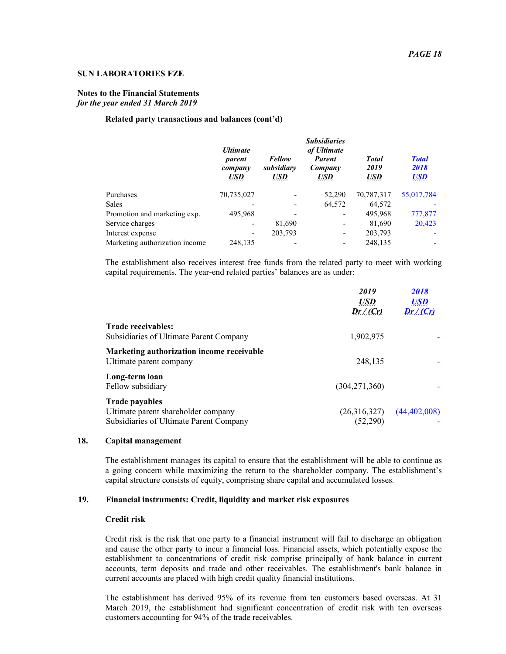### **Notes to the Financial Statements**  *for the year ended 31 March 2019*

### **Related party transactions and balances (cont'd)**

|                                | <b>Ultimate</b><br>parent<br>company<br><u>USD</u> | <b>Fellow</b><br>subsidiary<br><b>USD</b> | <b>Subsidiaries</b><br>of Ultimate<br><b>Parent</b><br>Company<br><b>USD</b> | <b>Total</b><br>2019<br><u>USD</u> | <b>Total</b><br>2018<br><b>USD</b> |
|--------------------------------|----------------------------------------------------|-------------------------------------------|------------------------------------------------------------------------------|------------------------------------|------------------------------------|
| Purchases                      | 70,735,027                                         |                                           | 52,290                                                                       | 70,787,317                         | 55,017,784                         |
| Sales                          |                                                    |                                           | 64,572                                                                       | 64,572                             |                                    |
| Promotion and marketing exp.   | 495,968                                            |                                           |                                                                              | 495,968                            | 777,877                            |
| Service charges                | $\overline{\phantom{a}}$                           | 81,690                                    |                                                                              | 81,690                             | 20,423                             |
| Interest expense               | -                                                  | 203,793                                   | -                                                                            | 203,793                            |                                    |
| Marketing authorization income | 248,135                                            |                                           |                                                                              | 248,135                            |                                    |

The establishment also receives interest free funds from the related party to meet with working capital requirements. The year-end related parties' balances are as under:

|                                                                                                         | 2019<br><b>USD</b><br>$\mathbf{D}$ r / (Cr) | 2018<br><b>USD</b><br>$\mathbf{D}$ r / (Cr) |
|---------------------------------------------------------------------------------------------------------|---------------------------------------------|---------------------------------------------|
| Trade receivables:<br>Subsidiaries of Ultimate Parent Company                                           | 1,902,975                                   |                                             |
| Marketing authorization income receivable<br>Ultimate parent company                                    | 248,135                                     |                                             |
| Long-term loan<br>Fellow subsidiary                                                                     | (304, 271, 360)                             |                                             |
| <b>Trade payables</b><br>Ultimate parent shareholder company<br>Subsidiaries of Ultimate Parent Company | (26,316,327)<br>(52,290)                    | (44, 402, 008)                              |

### **18. Capital management**

The establishment manages its capital to ensure that the establishment will be able to continue as a going concern while maximizing the return to the shareholder company. The establishment's capital structure consists of equity, comprising share capital and accumulated losses.

## **19. Financial instruments: Credit, liquidity and market risk exposures**

### **Credit risk**

Credit risk is the risk that one party to a financial instrument will fail to discharge an obligation and cause the other party to incur a financial loss. Financial assets, which potentially expose the establishment to concentrations of credit risk comprise principally of bank balance in current accounts, term deposits and trade and other receivables. The establishment's bank balance in current accounts are placed with high credit quality financial institutions.

The establishment has derived 95% of its revenue from ten customers based overseas. At 31 March 2019, the establishment had significant concentration of credit risk with ten overseas customers accounting for 94% of the trade receivables.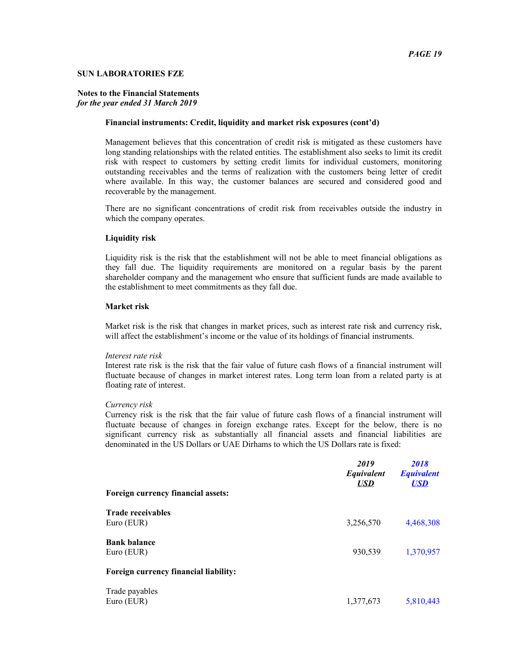### **Notes to the Financial Statements**  *for the year ended 31 March 2019*

### **Financial instruments: Credit, liquidity and market risk exposures (cont'd)**

Management believes that this concentration of credit risk is mitigated as these customers have long standing relationships with the related entities. The establishment also seeks to limit its credit risk with respect to customers by setting credit limits for individual customers, monitoring outstanding receivables and the terms of realization with the customers being letter of credit where available. In this way, the customer balances are secured and considered good and recoverable by the management.

There are no significant concentrations of credit risk from receivables outside the industry in which the company operates.

### **Liquidity risk**

Liquidity risk is the risk that the establishment will not be able to meet financial obligations as they fall due. The liquidity requirements are monitored on a regular basis by the parent shareholder company and the management who ensure that sufficient funds are made available to the establishment to meet commitments as they fall due.

### **Market risk**

Market risk is the risk that changes in market prices, such as interest rate risk and currency risk, will affect the establishment's income or the value of its holdings of financial instruments.

### *Interest rate risk*

Interest rate risk is the risk that the fair value of future cash flows of a financial instrument will fluctuate because of changes in market interest rates. Long term loan from a related party is at floating rate of interest.

### *Currency risk*

Currency risk is the risk that the fair value of future cash flows of a financial instrument will fluctuate because of changes in foreign exchange rates. Except for the below, there is no significant currency risk as substantially all financial assets and financial liabilities are denominated in the US Dollars or UAE Dirhams to which the US Dollars rate is fixed:

| Foreign currency financial assets:     | 2019<br>Equivalent<br><b>USD</b> | 2018<br><b>Equivalent</b><br><b>USD</b> |
|----------------------------------------|----------------------------------|-----------------------------------------|
| <b>Trade receivables</b><br>Euro (EUR) | 3,256,570                        | 4,468,308                               |
| <b>Bank balance</b><br>Euro (EUR)      | 930,539                          | 1,370,957                               |
| Foreign currency financial liability:  |                                  |                                         |
| Trade payables<br>Euro (EUR)           | 1,377,673                        | 5,810,443                               |